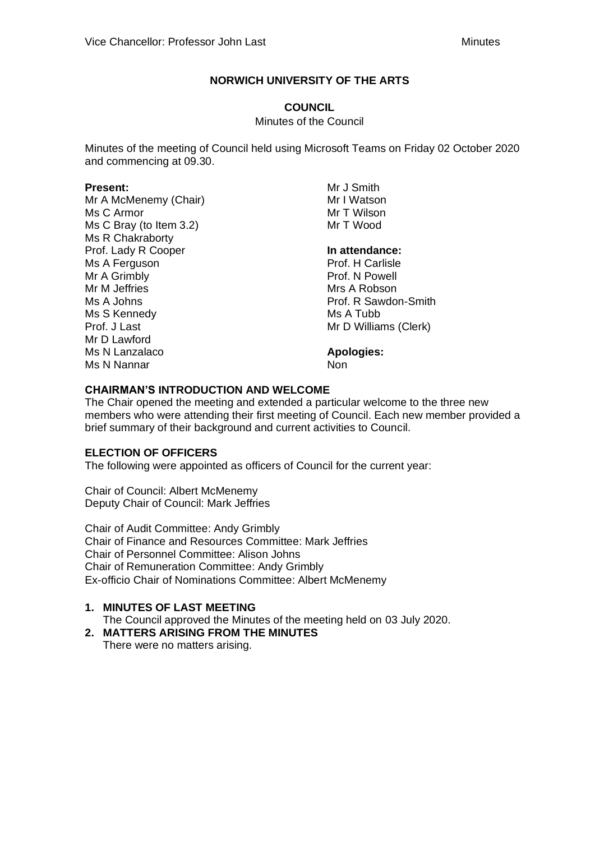#### **NORWICH UNIVERSITY OF THE ARTS**

#### **COUNCIL**

Minutes of the Council

Minutes of the meeting of Council held using Microsoft Teams on Friday 02 October 2020 and commencing at 09.30.

#### **Present:**

Mr A McMenemy (Chair) Ms C Armor Ms C Bray (to Item 3.2) Ms R Chakraborty Prof. Lady R Cooper Ms A Ferguson Mr A Grimbly Mr M Jeffries Ms A Johns Ms S Kennedy Prof. J Last Mr D Lawford Ms N Lanzalaco Ms N Nannar

Mr J Smith Mr I Watson Mr T Wilson Mr T Wood

**In attendance:**

Prof. H Carlisle Prof. N Powell Mrs A Robson Prof. R Sawdon-Smith Ms A Tubb Mr D Williams (Clerk)

**Apologies:**

Non

#### **CHAIRMAN'S INTRODUCTION AND WELCOME**

The Chair opened the meeting and extended a particular welcome to the three new members who were attending their first meeting of Council. Each new member provided a brief summary of their background and current activities to Council.

#### **ELECTION OF OFFICERS**

The following were appointed as officers of Council for the current year:

Chair of Council: Albert McMenemy Deputy Chair of Council: Mark Jeffries

Chair of Audit Committee: Andy Grimbly Chair of Finance and Resources Committee: Mark Jeffries Chair of Personnel Committee: Alison Johns Chair of Remuneration Committee: Andy Grimbly Ex-officio Chair of Nominations Committee: Albert McMenemy

# **1. MINUTES OF LAST MEETING**

The Council approved the Minutes of the meeting held on 03 July 2020.

# **2. MATTERS ARISING FROM THE MINUTES**

There were no matters arising.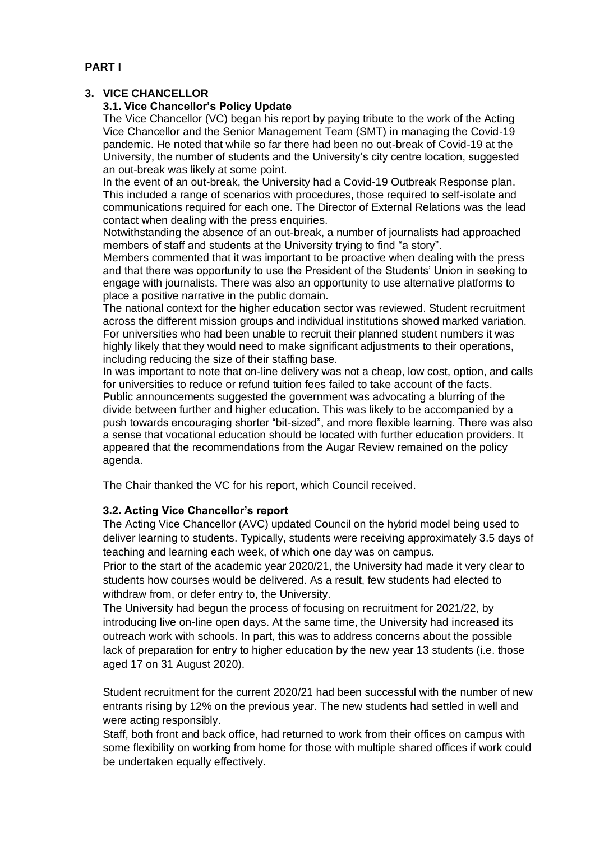# **3. VICE CHANCELLOR**

# **3.1. Vice Chancellor's Policy Update**

The Vice Chancellor (VC) began his report by paying tribute to the work of the Acting Vice Chancellor and the Senior Management Team (SMT) in managing the Covid-19 pandemic. He noted that while so far there had been no out-break of Covid-19 at the University, the number of students and the University's city centre location, suggested an out-break was likely at some point.

In the event of an out-break, the University had a Covid-19 Outbreak Response plan. This included a range of scenarios with procedures, those required to self-isolate and communications required for each one. The Director of External Relations was the lead contact when dealing with the press enquiries.

Notwithstanding the absence of an out-break, a number of journalists had approached members of staff and students at the University trying to find "a story".

Members commented that it was important to be proactive when dealing with the press and that there was opportunity to use the President of the Students' Union in seeking to engage with journalists. There was also an opportunity to use alternative platforms to place a positive narrative in the public domain.

The national context for the higher education sector was reviewed. Student recruitment across the different mission groups and individual institutions showed marked variation. For universities who had been unable to recruit their planned student numbers it was highly likely that they would need to make significant adjustments to their operations, including reducing the size of their staffing base.

In was important to note that on-line delivery was not a cheap, low cost, option, and calls for universities to reduce or refund tuition fees failed to take account of the facts. Public announcements suggested the government was advocating a blurring of the divide between further and higher education. This was likely to be accompanied by a push towards encouraging shorter "bit-sized", and more flexible learning. There was also a sense that vocational education should be located with further education providers. It appeared that the recommendations from the Augar Review remained on the policy agenda.

The Chair thanked the VC for his report, which Council received.

## **3.2. Acting Vice Chancellor's report**

The Acting Vice Chancellor (AVC) updated Council on the hybrid model being used to deliver learning to students. Typically, students were receiving approximately 3.5 days of teaching and learning each week, of which one day was on campus.

Prior to the start of the academic year 2020/21, the University had made it very clear to students how courses would be delivered. As a result, few students had elected to withdraw from, or defer entry to, the University.

The University had begun the process of focusing on recruitment for 2021/22, by introducing live on-line open days. At the same time, the University had increased its outreach work with schools. In part, this was to address concerns about the possible lack of preparation for entry to higher education by the new year 13 students (i.e. those aged 17 on 31 August 2020).

Student recruitment for the current 2020/21 had been successful with the number of new entrants rising by 12% on the previous year. The new students had settled in well and were acting responsibly.

Staff, both front and back office, had returned to work from their offices on campus with some flexibility on working from home for those with multiple shared offices if work could be undertaken equally effectively.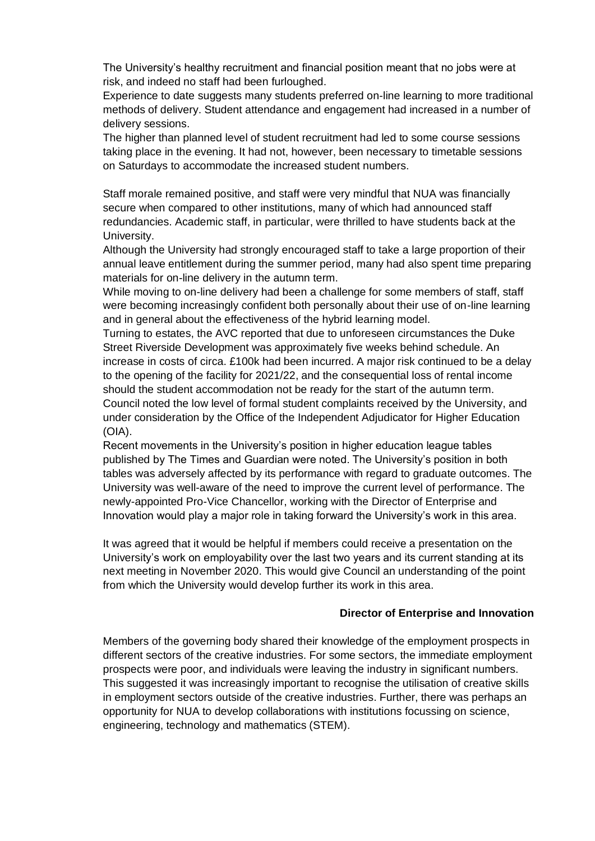The University's healthy recruitment and financial position meant that no jobs were at risk, and indeed no staff had been furloughed.

Experience to date suggests many students preferred on-line learning to more traditional methods of delivery. Student attendance and engagement had increased in a number of delivery sessions.

The higher than planned level of student recruitment had led to some course sessions taking place in the evening. It had not, however, been necessary to timetable sessions on Saturdays to accommodate the increased student numbers.

Staff morale remained positive, and staff were very mindful that NUA was financially secure when compared to other institutions, many of which had announced staff redundancies. Academic staff, in particular, were thrilled to have students back at the University.

Although the University had strongly encouraged staff to take a large proportion of their annual leave entitlement during the summer period, many had also spent time preparing materials for on-line delivery in the autumn term.

While moving to on-line delivery had been a challenge for some members of staff, staff were becoming increasingly confident both personally about their use of on-line learning and in general about the effectiveness of the hybrid learning model.

Turning to estates, the AVC reported that due to unforeseen circumstances the Duke Street Riverside Development was approximately five weeks behind schedule. An increase in costs of circa. £100k had been incurred. A major risk continued to be a delay to the opening of the facility for 2021/22, and the consequential loss of rental income should the student accommodation not be ready for the start of the autumn term. Council noted the low level of formal student complaints received by the University, and under consideration by the Office of the Independent Adjudicator for Higher Education (OIA).

Recent movements in the University's position in higher education league tables published by The Times and Guardian were noted. The University's position in both tables was adversely affected by its performance with regard to graduate outcomes. The University was well-aware of the need to improve the current level of performance. The newly-appointed Pro-Vice Chancellor, working with the Director of Enterprise and Innovation would play a major role in taking forward the University's work in this area.

It was agreed that it would be helpful if members could receive a presentation on the University's work on employability over the last two years and its current standing at its next meeting in November 2020. This would give Council an understanding of the point from which the University would develop further its work in this area.

#### **Director of Enterprise and Innovation**

Members of the governing body shared their knowledge of the employment prospects in different sectors of the creative industries. For some sectors, the immediate employment prospects were poor, and individuals were leaving the industry in significant numbers. This suggested it was increasingly important to recognise the utilisation of creative skills in employment sectors outside of the creative industries. Further, there was perhaps an opportunity for NUA to develop collaborations with institutions focussing on science, engineering, technology and mathematics (STEM).